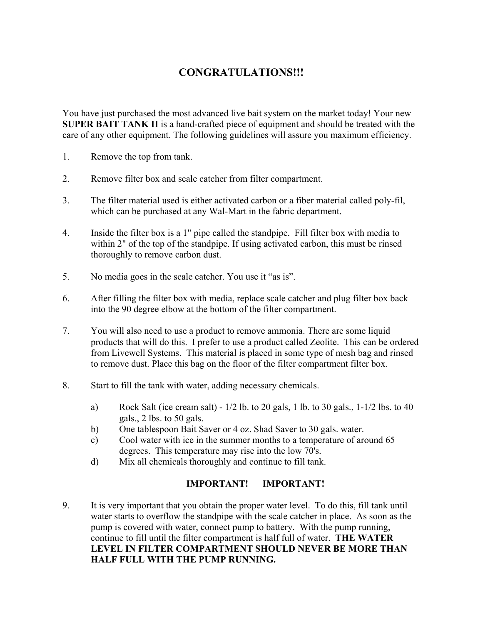## **CONGRATULATIONS!!!**

You have just purchased the most advanced live bait system on the market today! Your new **SUPER BAIT TANK II** is a hand-crafted piece of equipment and should be treated with the care of any other equipment. The following guidelines will assure you maximum efficiency.

- 1. Remove the top from tank.
- 2. Remove filter box and scale catcher from filter compartment.
- 3. The filter material used is either activated carbon or a fiber material called poly-fil, which can be purchased at any Wal-Mart in the fabric department.
- 4. Inside the filter box is a 1" pipe called the standpipe. Fill filter box with media to within 2" of the top of the standpipe. If using activated carbon, this must be rinsed thoroughly to remove carbon dust.
- 5. No media goes in the scale catcher. You use it "as is".
- 6. After filling the filter box with media, replace scale catcher and plug filter box back into the 90 degree elbow at the bottom of the filter compartment.
- 7. You will also need to use a product to remove ammonia. There are some liquid products that will do this. I prefer to use a product called Zeolite. This can be ordered from Livewell Systems. This material is placed in some type of mesh bag and rinsed to remove dust. Place this bag on the floor of the filter compartment filter box.
- 8. Start to fill the tank with water, adding necessary chemicals.
	- a) Rock Salt (ice cream salt)  $-1/2$  lb. to 20 gals, 1 lb. to 30 gals.,  $1-1/2$  lbs. to 40 gals., 2 lbs. to 50 gals.
	- b) One tablespoon Bait Saver or 4 oz. Shad Saver to 30 gals. water.
	- c) Cool water with ice in the summer months to a temperature of around 65 degrees. This temperature may rise into the low 70's.
	- d) Mix all chemicals thoroughly and continue to fill tank.

## **IMPORTANT! IMPORTANT!**

9. It is very important that you obtain the proper water level. To do this, fill tank until water starts to overflow the standpipe with the scale catcher in place. As soon as the pump is covered with water, connect pump to battery. With the pump running, continue to fill until the filter compartment is half full of water. **THE WATER LEVEL IN FILTER COMPARTMENT SHOULD NEVER BE MORE THAN HALF FULL WITH THE PUMP RUNNING.**